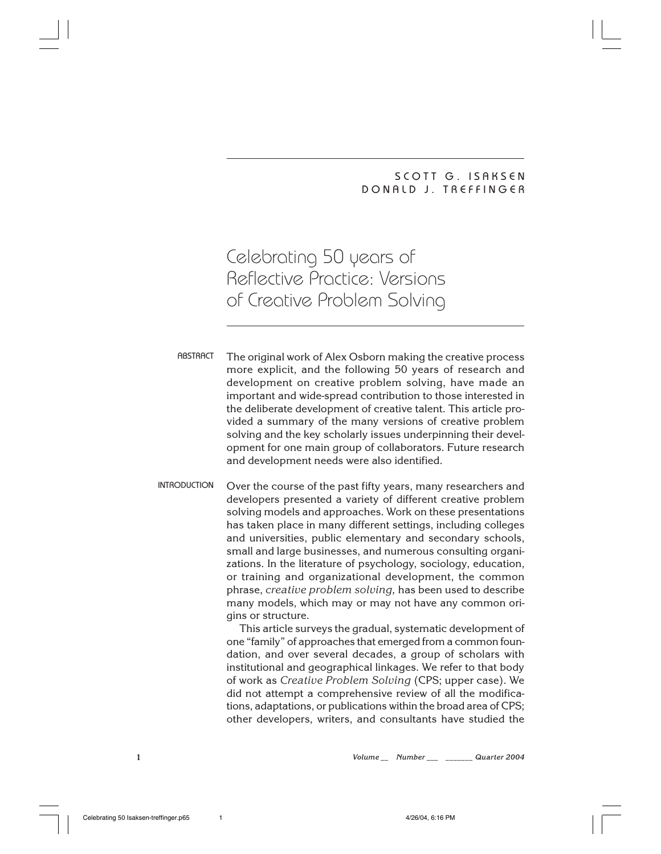### SCOTT G. ISAKSEN DONALD J. TREFFINGER

Celebrating 50 years of Reflective Practice: Versions of Creative Problem Solving

**ABSTRACT** The original work of Alex Osborn making the creative process more explicit, and the following 50 years of research and development on creative problem solving, have made an important and wide-spread contribution to those interested in the deliberate development of creative talent. This article provided a summary of the many versions of creative problem solving and the key scholarly issues underpinning their development for one main group of collaborators. Future research and development needs were also identified.

INTRODUCTION Over the course of the past fifty years, many researchers and developers presented a variety of different creative problem solving models and approaches. Work on these presentations has taken place in many different settings, including colleges and universities, public elementary and secondary schools, small and large businesses, and numerous consulting organizations. In the literature of psychology, sociology, education, or training and organizational development, the common phrase, *creative problem solving,* has been used to describe many models, which may or may not have any common origins or structure.

> This article surveys the gradual, systematic development of one "family" of approaches that emerged from a common foundation, and over several decades, a group of scholars with institutional and geographical linkages. We refer to that body of work as *Creative Problem Solving* (CPS; upper case). We did not attempt a comprehensive review of all the modifications, adaptations, or publications within the broad area of CPS; other developers, writers, and consultants have studied the

**1** *Volume \_\_ Number \_\_\_ \_\_\_\_\_\_\_ Quarter 2004*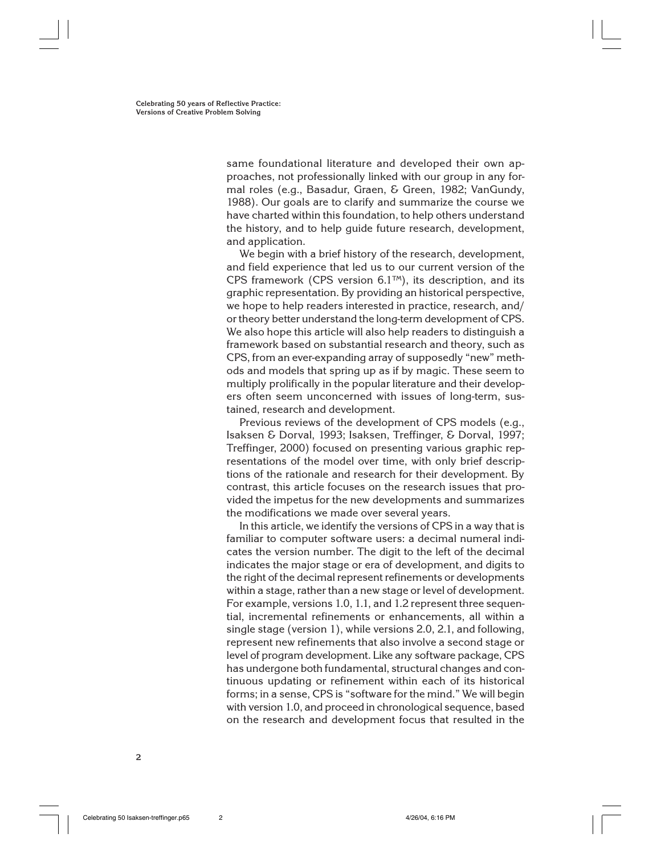> same foundational literature and developed their own approaches, not professionally linked with our group in any formal roles (e.g., Basadur, Graen, & Green, 1982; VanGundy, 1988). Our goals are to clarify and summarize the course we have charted within this foundation, to help others understand the history, and to help guide future research, development, and application.

> We begin with a brief history of the research, development, and field experience that led us to our current version of the CPS framework (CPS version 6.1™), its description, and its graphic representation. By providing an historical perspective, we hope to help readers interested in practice, research, and/ or theory better understand the long-term development of CPS. We also hope this article will also help readers to distinguish a framework based on substantial research and theory, such as CPS, from an ever-expanding array of supposedly "new" methods and models that spring up as if by magic. These seem to multiply prolifically in the popular literature and their developers often seem unconcerned with issues of long-term, sustained, research and development.

> Previous reviews of the development of CPS models (e.g., Isaksen & Dorval, 1993; Isaksen, Treffinger, & Dorval, 1997; Treffinger, 2000) focused on presenting various graphic representations of the model over time, with only brief descriptions of the rationale and research for their development. By contrast, this article focuses on the research issues that provided the impetus for the new developments and summarizes the modifications we made over several years.

> In this article, we identify the versions of CPS in a way that is familiar to computer software users: a decimal numeral indicates the version number. The digit to the left of the decimal indicates the major stage or era of development, and digits to the right of the decimal represent refinements or developments within a stage, rather than a new stage or level of development. For example, versions 1.0, 1.1, and 1.2 represent three sequential, incremental refinements or enhancements, all within a single stage (version 1), while versions 2.0, 2.1, and following, represent new refinements that also involve a second stage or level of program development. Like any software package, CPS has undergone both fundamental, structural changes and continuous updating or refinement within each of its historical forms; in a sense, CPS is "software for the mind." We will begin with version 1.0, and proceed in chronological sequence, based on the research and development focus that resulted in the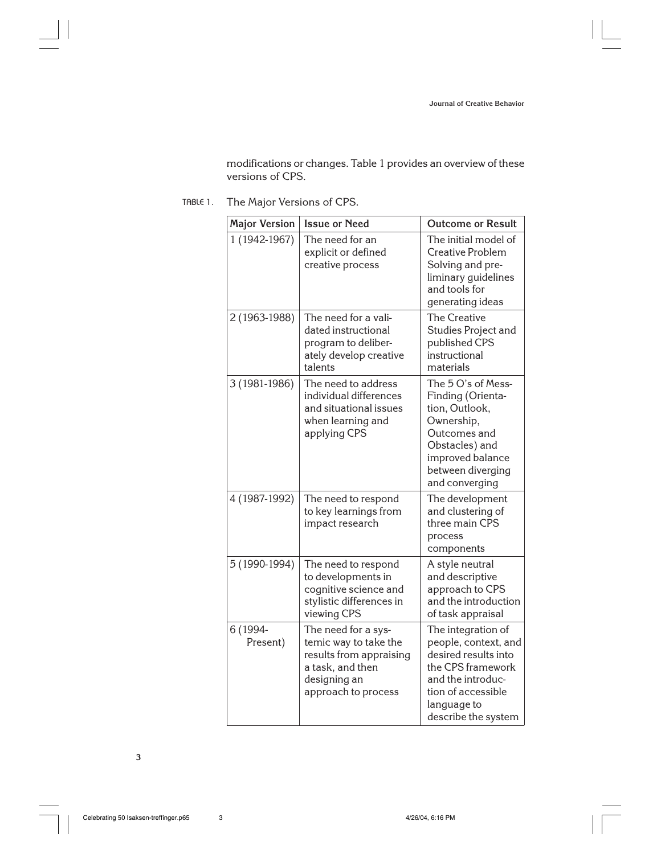modifications or changes. Table 1 provides an overview of these versions of CPS.

TABLE 1. The Major Versions of CPS.

| <b>Major Version</b> | <b>Issue or Need</b>                                                                                                               | <b>Outcome or Result</b>                                                                                                                                                 |
|----------------------|------------------------------------------------------------------------------------------------------------------------------------|--------------------------------------------------------------------------------------------------------------------------------------------------------------------------|
| 1 (1942-1967)        | The need for an<br>explicit or defined<br>creative process                                                                         | The initial model of<br>Creative Problem<br>Solving and pre-<br>liminary guidelines<br>and tools for<br>generating ideas                                                 |
| 2 (1963-1988)        | The need for a vali-<br>dated instructional<br>program to deliber-<br>ately develop creative<br>talents                            | <b>The Creative</b><br>Studies Project and<br>published CPS<br>instructional<br>materials                                                                                |
| 3 (1981-1986)        | The need to address<br>individual differences<br>and situational issues<br>when learning and<br>applying CPS                       | The 5 O's of Mess-<br>Finding (Orienta-<br>tion, Outlook,<br>Ownership,<br>Outcomes and<br>Obstacles) and<br>improved balance<br>between diverging<br>and converging     |
| 4 (1987-1992)        | The need to respond<br>to key learnings from<br>impact research                                                                    | The development<br>and clustering of<br>three main CPS<br>process<br>components                                                                                          |
| 5 (1990-1994)        | The need to respond<br>to developments in<br>cognitive science and<br>stylistic differences in<br>viewing CPS                      | A style neutral<br>and descriptive<br>approach to CPS<br>and the introduction<br>of task appraisal                                                                       |
| 6 (1994-<br>Present) | The need for a sys-<br>temic way to take the<br>results from appraising<br>a task, and then<br>designing an<br>approach to process | The integration of<br>people, context, and<br>desired results into<br>the CPS framework<br>and the introduc-<br>tion of accessible<br>language to<br>describe the system |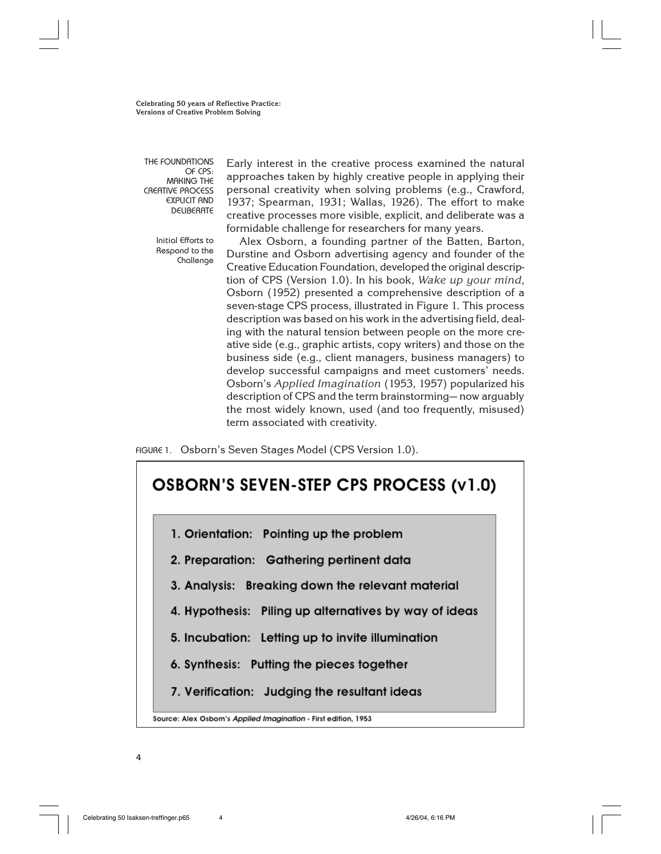THE FOUNDATIONS OF CPS: MAKING THE CREATIVE PROCESS EXPLICIT AND **DELIBERATE** 

> Initial Efforts to Respond to the Challenge

Early interest in the creative process examined the natural approaches taken by highly creative people in applying their personal creativity when solving problems (e.g., Crawford, 1937; Spearman, 1931; Wallas, 1926). The effort to make creative processes more visible, explicit, and deliberate was a formidable challenge for researchers for many years.

Alex Osborn, a founding partner of the Batten, Barton, Durstine and Osborn advertising agency and founder of the Creative Education Foundation, developed the original description of CPS (Version 1.0). In his book, *Wake up your mind*, Osborn (1952) presented a comprehensive description of a seven-stage CPS process, illustrated in Figure 1. This process description was based on his work in the advertising field, dealing with the natural tension between people on the more creative side (e.g., graphic artists, copy writers) and those on the business side (e.g., client managers, business managers) to develop successful campaigns and meet customers' needs. Osborn's *Applied Imagination* (1953, 1957) popularized his description of CPS and the term brainstorming— now arguably the most widely known, used (and too frequently, misused) term associated with creativity.

FIGURE 1. Osborn's Seven Stages Model (CPS Version 1.0).

## **OSBORN'S SEVEN-STEP CPS PROCESS (v1.0)**

- 1. Orientation: Pointing up the problem
- 2. Preparation: Gathering pertinent data
- 3. Analysis: Breaking down the relevant material
- 4. Hypothesis: Piling up alternatives by way of ideas
- 5. Incubation: Letting up to invite illumination
	- 6. Synthesis: Putting the pieces together
	- 7. Verification: Judging the resultant ideas

Source: Alex Osborn's Applied Imagination - First edition, 1953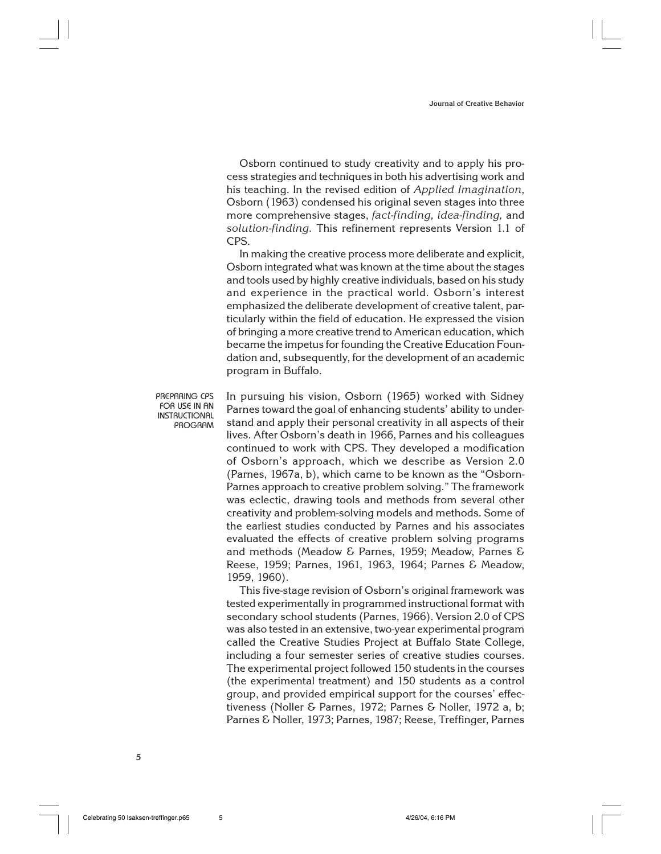Osborn continued to study creativity and to apply his process strategies and techniques in both his advertising work and his teaching. In the revised edition of *Applied Imagination*, Osborn (1963) condensed his original seven stages into three more comprehensive stages, *fact-finding, idea-finding,* and *solution-finding.* This refinement represents Version 1.1 of CPS.

In making the creative process more deliberate and explicit, Osborn integrated what was known at the time about the stages and tools used by highly creative individuals, based on his study and experience in the practical world. Osborn's interest emphasized the deliberate development of creative talent, particularly within the field of education. He expressed the vision of bringing a more creative trend to American education, which became the impetus for founding the Creative Education Foundation and, subsequently, for the development of an academic program in Buffalo.

PREPARING CPS FOR USE IN AN **INSTRUCTIONAL** PROGRAM In pursuing his vision, Osborn (1965) worked with Sidney Parnes toward the goal of enhancing students' ability to understand and apply their personal creativity in all aspects of their lives. After Osborn's death in 1966, Parnes and his colleagues continued to work with CPS. They developed a modification of Osborn's approach, which we describe as Version 2.0 (Parnes, 1967a, b), which came to be known as the "Osborn-Parnes approach to creative problem solving." The framework was eclectic, drawing tools and methods from several other creativity and problem-solving models and methods. Some of the earliest studies conducted by Parnes and his associates evaluated the effects of creative problem solving programs and methods (Meadow & Parnes, 1959; Meadow, Parnes & Reese, 1959; Parnes, 1961, 1963, 1964; Parnes & Meadow, 1959, 1960).

This five-stage revision of Osborn's original framework was tested experimentally in programmed instructional format with secondary school students (Parnes, 1966). Version 2.0 of CPS was also tested in an extensive, two-year experimental program called the Creative Studies Project at Buffalo State College, including a four semester series of creative studies courses. The experimental project followed 150 students in the courses (the experimental treatment) and 150 students as a control group, and provided empirical support for the courses' effectiveness (Noller & Parnes, 1972; Parnes & Noller, 1972 a, b; Parnes & Noller, 1973; Parnes, 1987; Reese, Treffinger, Parnes

**5**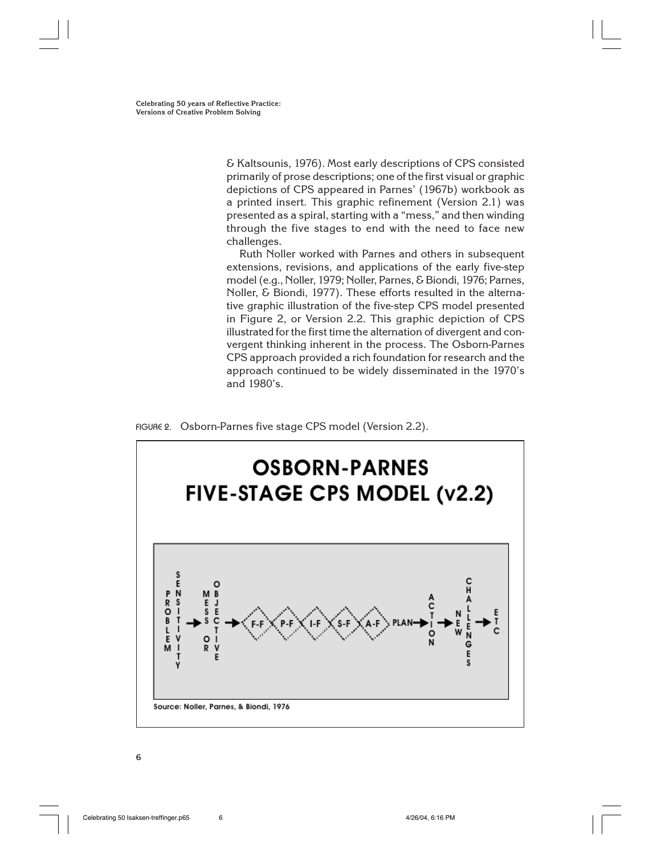> & Kaltsounis, 1976). Most early descriptions of CPS consisted primarily of prose descriptions; one of the first visual or graphic depictions of CPS appeared in Parnes' (1967b) workbook as a printed insert. This graphic refinement (Version 2.1) was presented as a spiral, starting with a "mess," and then winding through the five stages to end with the need to face new challenges.

> Ruth Noller worked with Parnes and others in subsequent extensions, revisions, and applications of the early five-step model (e.g., Noller, 1979; Noller, Parnes, & Biondi, 1976; Parnes, Noller, & Biondi, 1977). These efforts resulted in the alternative graphic illustration of the five-step CPS model presented in Figure 2, or Version 2.2. This graphic depiction of CPS illustrated for the first time the alternation of divergent and convergent thinking inherent in the process. The Osborn-Parnes CPS approach provided a rich foundation for research and the approach continued to be widely disseminated in the 1970's and 1980's.



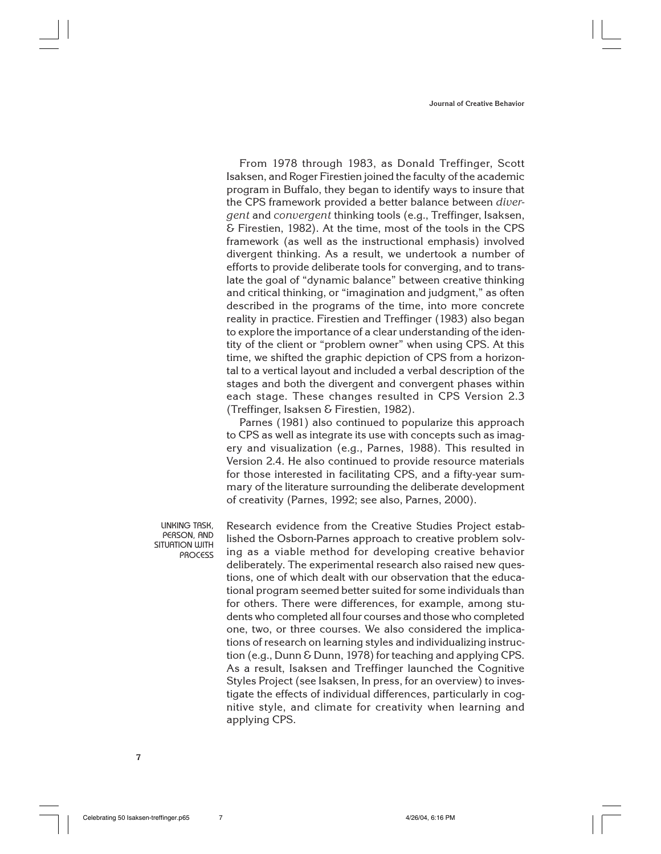### **Journal of Creative Behavior**

From 1978 through 1983, as Donald Treffinger, Scott Isaksen, and Roger Firestien joined the faculty of the academic program in Buffalo, they began to identify ways to insure that the CPS framework provided a better balance between *divergent* and *convergent* thinking tools (e.g., Treffinger, Isaksen, & Firestien, 1982). At the time, most of the tools in the CPS framework (as well as the instructional emphasis) involved divergent thinking. As a result, we undertook a number of efforts to provide deliberate tools for converging, and to translate the goal of "dynamic balance" between creative thinking and critical thinking, or "imagination and judgment," as often described in the programs of the time, into more concrete reality in practice. Firestien and Treffinger (1983) also began to explore the importance of a clear understanding of the identity of the client or "problem owner" when using CPS. At this time, we shifted the graphic depiction of CPS from a horizontal to a vertical layout and included a verbal description of the stages and both the divergent and convergent phases within each stage. These changes resulted in CPS Version 2.3 (Treffinger, Isaksen & Firestien, 1982).

Parnes (1981) also continued to popularize this approach to CPS as well as integrate its use with concepts such as imagery and visualization (e.g., Parnes, 1988). This resulted in Version 2.4. He also continued to provide resource materials for those interested in facilitating CPS, and a fifty-year summary of the literature surrounding the deliberate development of creativity (Parnes, 1992; see also, Parnes, 2000).

LINKING TASK, PERSON, AND SITUATION WITH **PROCESS** 

Research evidence from the Creative Studies Project established the Osborn-Parnes approach to creative problem solving as a viable method for developing creative behavior deliberately. The experimental research also raised new questions, one of which dealt with our observation that the educational program seemed better suited for some individuals than for others. There were differences, for example, among students who completed all four courses and those who completed one, two, or three courses. We also considered the implications of research on learning styles and individualizing instruction (e.g., Dunn & Dunn, 1978) for teaching and applying CPS. As a result, Isaksen and Treffinger launched the Cognitive Styles Project (see Isaksen, In press, for an overview) to investigate the effects of individual differences, particularly in cognitive style, and climate for creativity when learning and applying CPS.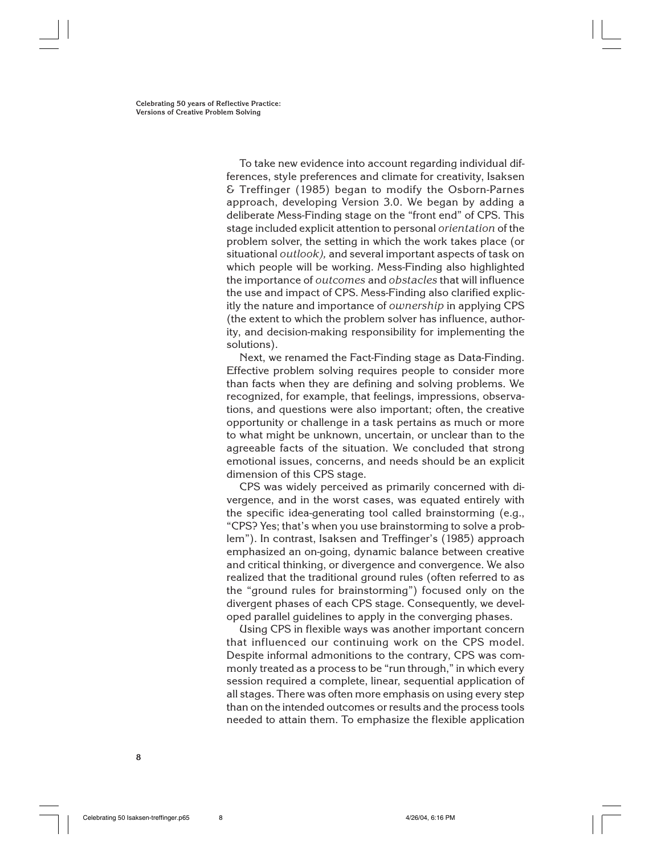> To take new evidence into account regarding individual differences, style preferences and climate for creativity, Isaksen & Treffinger (1985) began to modify the Osborn-Parnes approach, developing Version 3.0. We began by adding a deliberate Mess-Finding stage on the "front end" of CPS. This stage included explicit attention to personal *orientation* of the problem solver, the setting in which the work takes place (or situational *outlook),* and several important aspects of task on which people will be working. Mess-Finding also highlighted the importance of *outcomes* and *obstacles* that will influence the use and impact of CPS. Mess-Finding also clarified explicitly the nature and importance of *ownership* in applying CPS (the extent to which the problem solver has influence, authority, and decision-making responsibility for implementing the solutions).

> Next, we renamed the Fact-Finding stage as Data-Finding. Effective problem solving requires people to consider more than facts when they are defining and solving problems. We recognized, for example, that feelings, impressions, observations, and questions were also important; often, the creative opportunity or challenge in a task pertains as much or more to what might be unknown, uncertain, or unclear than to the agreeable facts of the situation. We concluded that strong emotional issues, concerns, and needs should be an explicit dimension of this CPS stage.

> CPS was widely perceived as primarily concerned with divergence, and in the worst cases, was equated entirely with the specific idea-generating tool called brainstorming (e.g., "CPS? Yes; that's when you use brainstorming to solve a problem"). In contrast, Isaksen and Treffinger's (1985) approach emphasized an on-going, dynamic balance between creative and critical thinking, or divergence and convergence. We also realized that the traditional ground rules (often referred to as the "ground rules for brainstorming") focused only on the divergent phases of each CPS stage. Consequently, we developed parallel guidelines to apply in the converging phases.

> Using CPS in flexible ways was another important concern that influenced our continuing work on the CPS model. Despite informal admonitions to the contrary, CPS was commonly treated as a process to be "run through," in which every session required a complete, linear, sequential application of all stages. There was often more emphasis on using every step than on the intended outcomes or results and the process tools needed to attain them. To emphasize the flexible application

**8**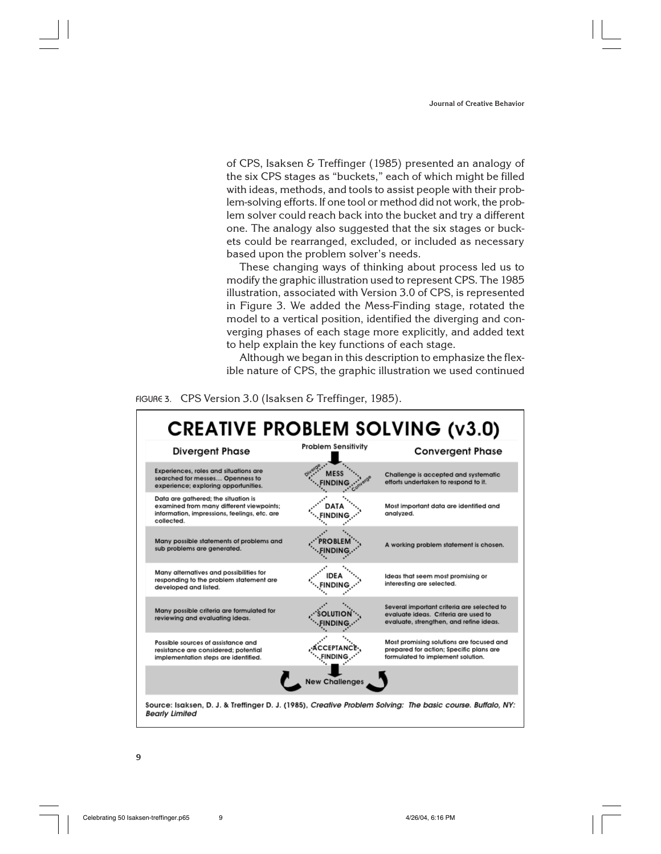of CPS, Isaksen & Treffinger (1985) presented an analogy of the six CPS stages as "buckets," each of which might be filled with ideas, methods, and tools to assist people with their problem-solving efforts. If one tool or method did not work, the problem solver could reach back into the bucket and try a different one. The analogy also suggested that the six stages or buckets could be rearranged, excluded, or included as necessary based upon the problem solver's needs.

These changing ways of thinking about process led us to modify the graphic illustration used to represent CPS. The 1985 illustration, associated with Version 3.0 of CPS, is represented in Figure 3. We added the Mess-Finding stage, rotated the model to a vertical position, identified the diverging and converging phases of each stage more explicitly, and added text to help explain the key functions of each stage.

Although we began in this description to emphasize the flexible nature of CPS, the graphic illustration we used continued



FIGURE 3. CPS Version 3.0 (Isaksen & Treffinger, 1985).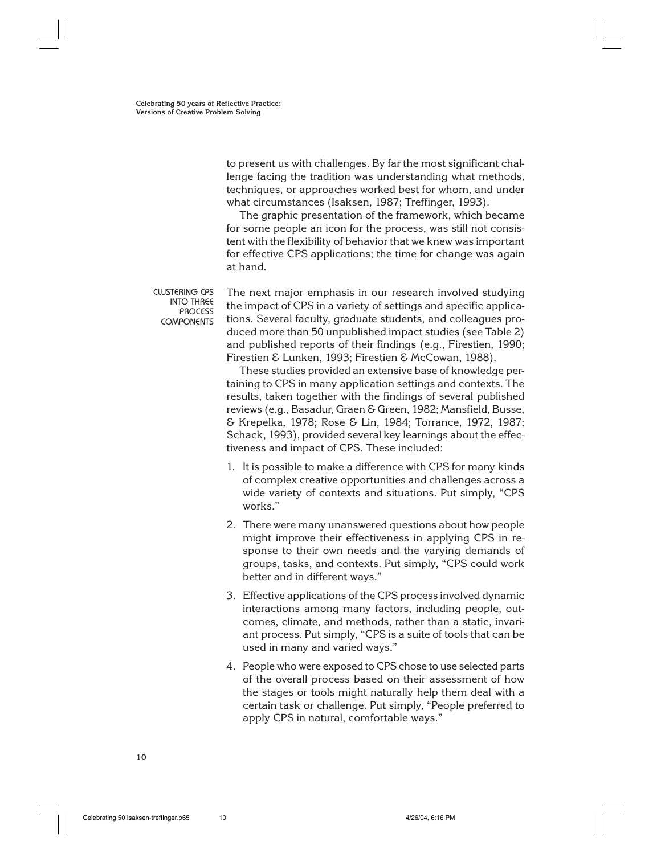> to present us with challenges. By far the most significant challenge facing the tradition was understanding what methods, techniques, or approaches worked best for whom, and under what circumstances (Isaksen, 1987; Treffinger, 1993).

> The graphic presentation of the framework, which became for some people an icon for the process, was still not consistent with the flexibility of behavior that we knew was important for effective CPS applications; the time for change was again at hand.

CLUSTERING CPS INTO THREE **PROCESS COMPONENTS** 

The next major emphasis in our research involved studying the impact of CPS in a variety of settings and specific applications. Several faculty, graduate students, and colleagues produced more than 50 unpublished impact studies (see Table 2) and published reports of their findings (e.g., Firestien, 1990; Firestien & Lunken, 1993; Firestien & McCowan, 1988).

These studies provided an extensive base of knowledge pertaining to CPS in many application settings and contexts. The results, taken together with the findings of several published reviews (e.g., Basadur, Graen & Green, 1982; Mansfield, Busse, & Krepelka, 1978; Rose & Lin, 1984; Torrance, 1972, 1987; Schack, 1993), provided several key learnings about the effectiveness and impact of CPS. These included:

- 1. It is possible to make a difference with CPS for many kinds of complex creative opportunities and challenges across a wide variety of contexts and situations. Put simply, "CPS works."
- 2.There were many unanswered questions about how people might improve their effectiveness in applying CPS in response to their own needs and the varying demands of groups, tasks, and contexts. Put simply, "CPS could work better and in different ways."
- 3.Effective applications of the CPS process involved dynamic interactions among many factors, including people, outcomes, climate, and methods, rather than a static, invariant process. Put simply, "CPS is a suite of tools that can be used in many and varied ways."
- 4. People who were exposed to CPS chose to use selected parts of the overall process based on their assessment of how the stages or tools might naturally help them deal with a certain task or challenge. Put simply, "People preferred to apply CPS in natural, comfortable ways."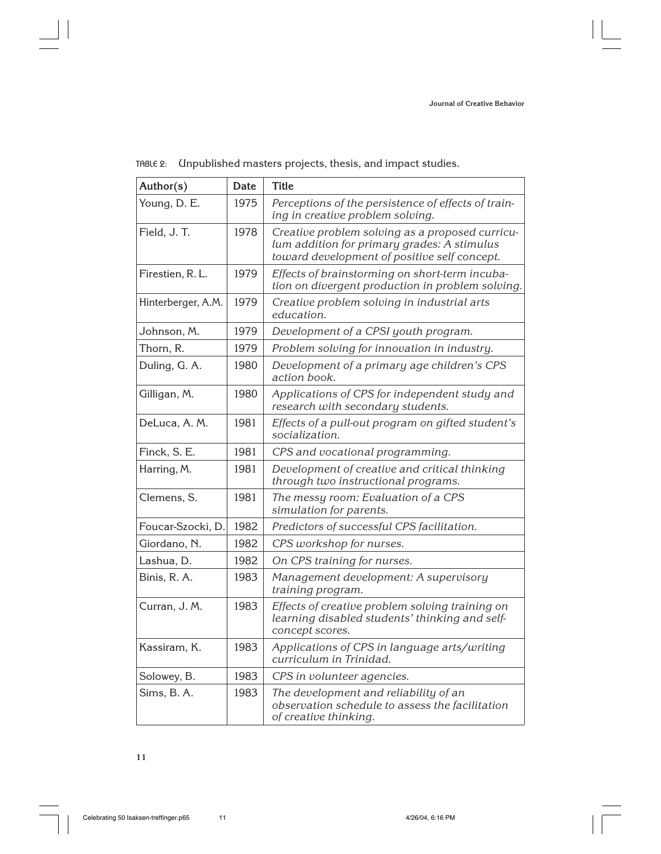# TABLE 2: Unpublished masters projects, thesis, and impact studies.

| Author(s)          | Date | <b>Title</b>                                                                                                                                   |
|--------------------|------|------------------------------------------------------------------------------------------------------------------------------------------------|
| Young, D. E.       | 1975 | Perceptions of the persistence of effects of train-<br>ing in creative problem solving.                                                        |
| Field, J. T.       | 1978 | Creative problem solving as a proposed curricu-<br>lum addition for primary grades: A stimulus<br>toward development of positive self concept. |
| Firestien, R.L.    | 1979 | Effects of brainstorming on short-term incuba-<br>tion on divergent production in problem solving.                                             |
| Hinterberger, A.M. | 1979 | Creative problem solving in industrial arts<br>education.                                                                                      |
| Johnson, M.        | 1979 | Development of a CPSI youth program.                                                                                                           |
| Thorn, R.          | 1979 | Problem solving for innovation in industry.                                                                                                    |
| Duling, G. A.      | 1980 | Development of a primary age children's CPS<br>action book.                                                                                    |
| Gilligan, M.       | 1980 | Applications of CPS for independent study and<br>research with secondary students.                                                             |
| DeLuca, A. M.      | 1981 | Effects of a pull-out program on gifted student's<br>socialization.                                                                            |
| Finck, S. E.       | 1981 | CPS and vocational programming.                                                                                                                |
| Harring, M.        | 1981 | Development of creative and critical thinking<br>through two instructional programs.                                                           |
| Clemens, S.        | 1981 | The messy room: Evaluation of a CPS<br>simulation for parents.                                                                                 |
| Foucar-Szocki, D.  | 1982 | Predictors of successful CPS facilitation.                                                                                                     |
| Giordano, N.       | 1982 | CPS workshop for nurses.                                                                                                                       |
| Lashua, D.         | 1982 | On CPS training for nurses.                                                                                                                    |
| Binis, R. A.       | 1983 | Management development: A supervisory<br>training program.                                                                                     |
| Curran, J. M.      | 1983 | Effects of creative problem solving training on<br>learning disabled students' thinking and self-<br>concept scores.                           |
| Kassiram, K.       | 1983 | Applications of CPS in language arts/writing<br>curriculum in Trinidad.                                                                        |
| Solowey, B.        | 1983 | CPS in volunteer agencies.                                                                                                                     |
| Sims, B. A.        | 1983 | The development and reliability of an<br>observation schedule to assess the facilitation<br>of creative thinking.                              |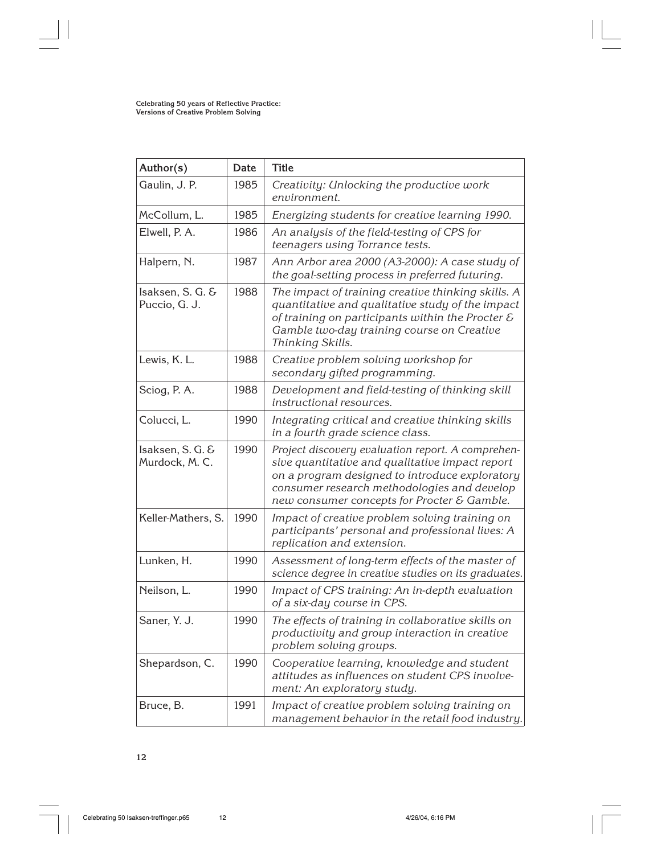| Author(s)                          | Date | <b>Title</b>                                                                                                                                                                                                                                         |
|------------------------------------|------|------------------------------------------------------------------------------------------------------------------------------------------------------------------------------------------------------------------------------------------------------|
| Gaulin, J. P.                      | 1985 | Creativity: Unlocking the productive work<br>environment.                                                                                                                                                                                            |
| McCollum, L.                       | 1985 | Energizing students for creative learning 1990.                                                                                                                                                                                                      |
| Elwell, P. A.                      | 1986 | An analysis of the field-testing of CPS for<br>teenagers using Torrance tests.                                                                                                                                                                       |
| Halpern, N.                        | 1987 | Ann Arbor area 2000 (A3-2000): A case study of<br>the goal-setting process in preferred futuring.                                                                                                                                                    |
| Isaksen, S. G. &<br>Puccio, G. J.  | 1988 | The impact of training creative thinking skills. A<br>quantitative and qualitative study of the impact<br>of training on participants within the Procter $\varepsilon$<br>Gamble two-day training course on Creative<br>Thinking Skills.             |
| Lewis, K. L.                       | 1988 | Creative problem solving workshop for<br>secondary gifted programming.                                                                                                                                                                               |
| Sciog, P. A.                       | 1988 | Development and field-testing of thinking skill<br>instructional resources.                                                                                                                                                                          |
| Colucci, L.                        | 1990 | Integrating critical and creative thinking skills<br>in a fourth grade science class.                                                                                                                                                                |
| Isaksen, S. G. &<br>Murdock, M. C. | 1990 | Project discovery evaluation report. A comprehen-<br>sive quantitative and qualitative impact report<br>on a program designed to introduce exploratory<br>consumer research methodologies and develop<br>new consumer concepts for Procter & Gamble. |
| Keller-Mathers, S.                 | 1990 | Impact of creative problem solving training on<br>participants' personal and professional lives: A<br>replication and extension.                                                                                                                     |
| Lunken, H.                         | 1990 | Assessment of long-term effects of the master of<br>science degree in creative studies on its graduates.                                                                                                                                             |
| Neilson, L.                        | 1990 | Impact of CPS training: An in-depth evaluation<br>of a six-day course in CPS.                                                                                                                                                                        |
| Saner, Y. J.                       | 1990 | The effects of training in collaborative skills on<br>productivity and group interaction in creative<br>problem solving groups.                                                                                                                      |
| Shepardson, C.                     | 1990 | Cooperative learning, knowledge and student<br>attitudes as influences on student CPS involve-<br>ment: An exploratory study.                                                                                                                        |
| Bruce, B.                          | 1991 | Impact of creative problem solving training on<br>management behavior in the retail food industry.                                                                                                                                                   |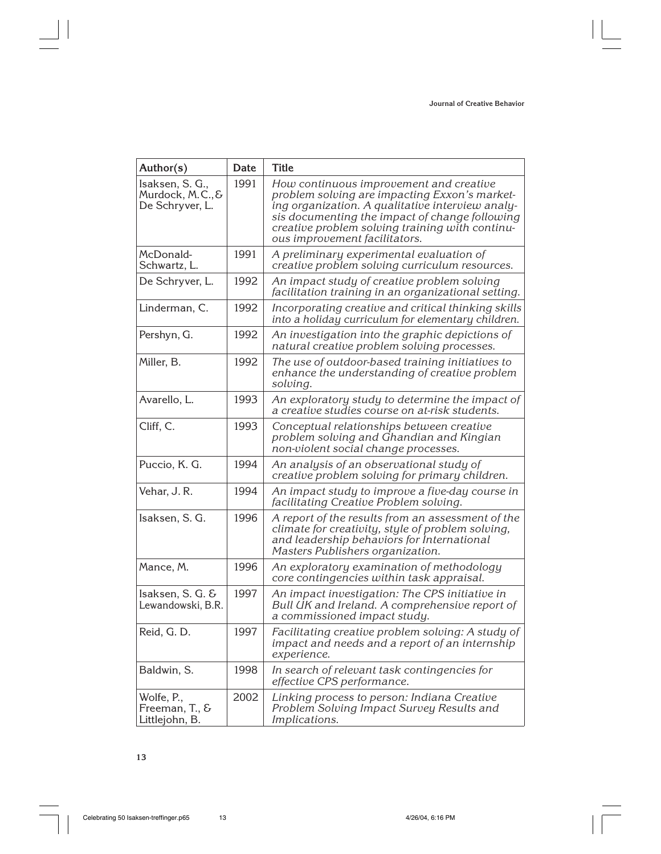### **Journal of Creative Behavior**

| Author(s)                                              | Date | <b>Title</b>                                                                                                                                                                                                                                                                       |
|--------------------------------------------------------|------|------------------------------------------------------------------------------------------------------------------------------------------------------------------------------------------------------------------------------------------------------------------------------------|
| Isaksen, S. G.,<br>Murdock, M.C., &<br>De Schryver, L. | 1991 | How continuous improvement and creative<br>problem solving are impacting Exxon's market-<br>ing organization. A qualitative interview analy-<br>sis documenting the impact of change following<br>creative problem solving training with continu-<br>ous improvement facilitators. |
| McDonald-<br>Schwartz, L.                              | 1991 | A preliminary experimental evaluation of<br>creative problem solving curriculum resources.                                                                                                                                                                                         |
| De Schryver, L.                                        | 1992 | An impact study of creative problem solving<br>facilitation training in an organizational setting.                                                                                                                                                                                 |
| Linderman, C.                                          | 1992 | Incorporating creative and critical thinking skills<br>into a holiday curriculum for elementary children.                                                                                                                                                                          |
| Pershyn, G.                                            | 1992 | An investigation into the graphic depictions of<br>natural creative problem solving processes.                                                                                                                                                                                     |
| Miller, B.                                             | 1992 | The use of outdoor-based training initiatives to<br>enhance the understanding of creative problem<br>solving.                                                                                                                                                                      |
| Avarello, L.                                           | 1993 | An exploratory study to determine the impact of<br>a creative studies course on at-risk students.                                                                                                                                                                                  |
| Cliff, C.                                              | 1993 | Conceptual relationships between creative<br>problem solving and Ghandian and Kingian<br>non-violent social change processes.                                                                                                                                                      |
| Puccio, K. G.                                          | 1994 | An analysis of an observational study of<br>creative problem solving for primary children.                                                                                                                                                                                         |
| Vehar, J.R.                                            | 1994 | An impact study to improve a five-day course in<br>facilitating Creative Problem solving.                                                                                                                                                                                          |
| Isaksen, S. G.                                         | 1996 | A report of the results from an assessment of the<br>climate for creativity, style of problem solving,<br>and leadership behaviors for International<br>Masters Publishers organization.                                                                                           |
| Mance, M.                                              | 1996 | An exploratory examination of methodology<br>core contingencies within task appraisal.                                                                                                                                                                                             |
| Isaksen, S. G. &<br>Lewandowski, B.R.                  | 1997 | An impact investigation: The CPS initiative in<br>Bull UK and Ireland. A comprehensive report of<br>a commissioned impact study.                                                                                                                                                   |
| Reid, G. D.                                            | 1997 | Facilitating creative problem solving: A study of<br>impact and needs and a report of an internship<br>experience.                                                                                                                                                                 |
| Baldwin, S.                                            | 1998 | In search of relevant task contingencies for<br>effective CPS performance.                                                                                                                                                                                                         |
| Wolfe, P.,<br>Freeman, T., &<br>Littlejohn, B.         | 2002 | Linking process to person: Indiana Creative<br>Problem Solving Impact Survey Results and<br>Implications.                                                                                                                                                                          |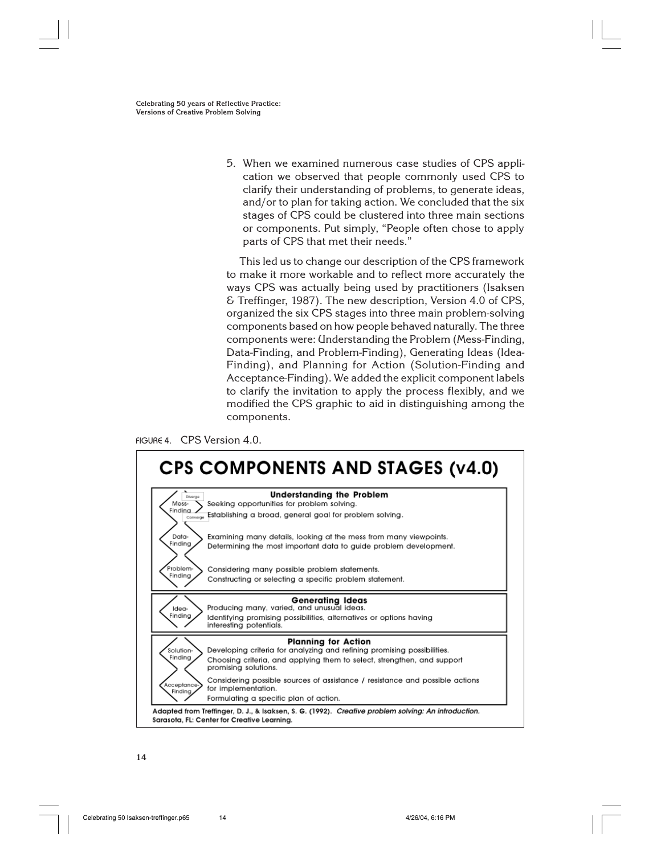> 5.When we examined numerous case studies of CPS application we observed that people commonly used CPS to clarify their understanding of problems, to generate ideas, and/or to plan for taking action. We concluded that the six stages of CPS could be clustered into three main sections or components. Put simply, "People often chose to apply parts of CPS that met their needs."

> This led us to change our description of the CPS framework to make it more workable and to reflect more accurately the ways CPS was actually being used by practitioners (Isaksen & Treffinger, 1987). The new description, Version 4.0 of CPS, organized the six CPS stages into three main problem-solving components based on how people behaved naturally. The three components were: Understanding the Problem (Mess-Finding, Data-Finding, and Problem-Finding), Generating Ideas (Idea-Finding), and Planning for Action (Solution-Finding and Acceptance-Finding). We added the explicit component labels to clarify the invitation to apply the process flexibly, and we modified the CPS graphic to aid in distinguishing among the components.

FIGURE 4. CPS Version 4.0.

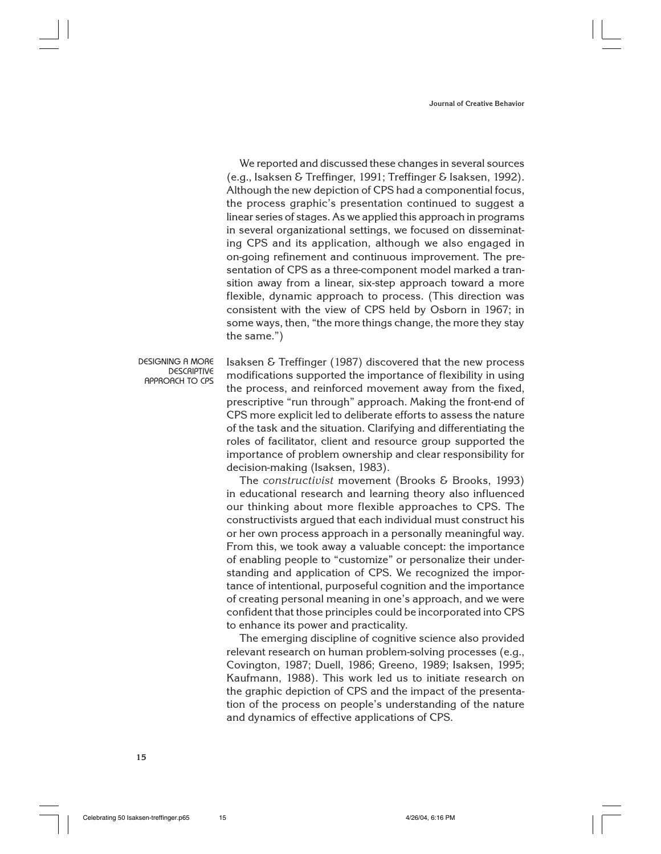#### **Journal of Creative Behavior**

We reported and discussed these changes in several sources (e.g., Isaksen & Treffinger, 1991; Treffinger & Isaksen, 1992). Although the new depiction of CPS had a componential focus, the process graphic's presentation continued to suggest a linear series of stages. As we applied this approach in programs in several organizational settings, we focused on disseminating CPS and its application, although we also engaged in on-going refinement and continuous improvement. The presentation of CPS as a three-component model marked a transition away from a linear, six-step approach toward a more flexible, dynamic approach to process. (This direction was consistent with the view of CPS held by Osborn in 1967; in some ways, then, "the more things change, the more they stay the same.")

DESIGNING A MORE DESCRIPTIVE APPROACH TO CPS

Isaksen & Treffinger (1987) discovered that the new process modifications supported the importance of flexibility in using the process, and reinforced movement away from the fixed, prescriptive "run through" approach. Making the front-end of CPS more explicit led to deliberate efforts to assess the nature of the task and the situation. Clarifying and differentiating the roles of facilitator, client and resource group supported the importance of problem ownership and clear responsibility for decision-making (Isaksen, 1983).

The *constructivist* movement (Brooks & Brooks, 1993) in educational research and learning theory also influenced our thinking about more flexible approaches to CPS. The constructivists argued that each individual must construct his or her own process approach in a personally meaningful way. From this, we took away a valuable concept: the importance of enabling people to "customize" or personalize their understanding and application of CPS. We recognized the importance of intentional, purposeful cognition and the importance of creating personal meaning in one's approach, and we were confident that those principles could be incorporated into CPS to enhance its power and practicality.

The emerging discipline of cognitive science also provided relevant research on human problem-solving processes (e.g., Covington, 1987; Duell, 1986; Greeno, 1989; Isaksen, 1995; Kaufmann, 1988). This work led us to initiate research on the graphic depiction of CPS and the impact of the presentation of the process on people's understanding of the nature and dynamics of effective applications of CPS.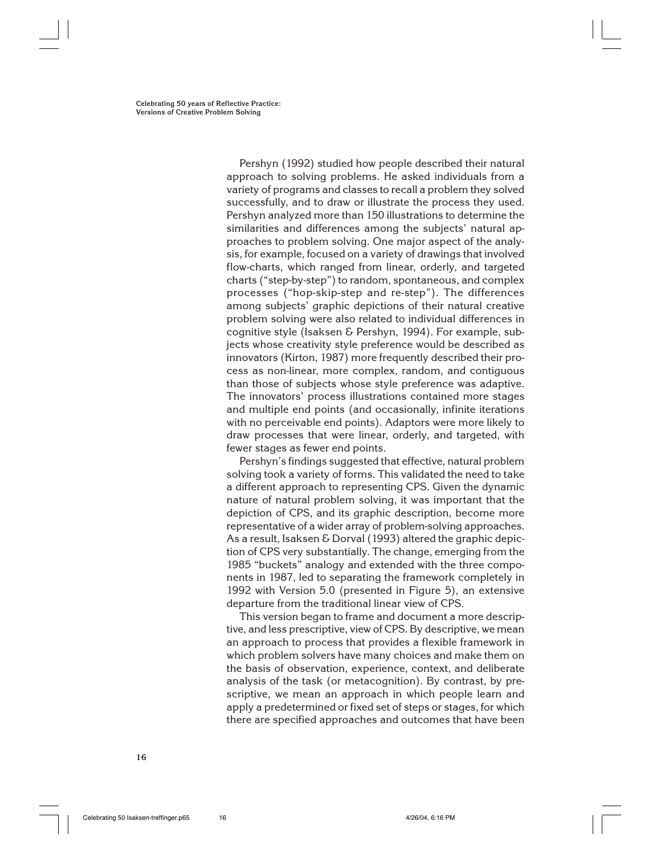> Pershyn (1992) studied how people described their natural approach to solving problems. He asked individuals from a variety of programs and classes to recall a problem they solved successfully, and to draw or illustrate the process they used. Pershyn analyzed more than 150 illustrations to determine the similarities and differences among the subjects' natural approaches to problem solving. One major aspect of the analysis, for example, focused on a variety of drawings that involved flow-charts, which ranged from linear, orderly, and targeted charts ("step-by-step") to random, spontaneous, and complex processes ("hop-skip-step and re-step"). The differences among subjects' graphic depictions of their natural creative problem solving were also related to individual differences in cognitive style (Isaksen & Pershyn, 1994). For example, subjects whose creativity style preference would be described as innovators (Kirton, 1987) more frequently described their process as non-linear, more complex, random, and contiguous than those of subjects whose style preference was adaptive. The innovators' process illustrations contained more stages and multiple end points (and occasionally, infinite iterations with no perceivable end points). Adaptors were more likely to draw processes that were linear, orderly, and targeted, with fewer stages as fewer end points.

> Pershyn's findings suggested that effective, natural problem solving took a variety of forms. This validated the need to take a different approach to representing CPS. Given the dynamic nature of natural problem solving, it was important that the depiction of CPS, and its graphic description, become more representative of a wider array of problem-solving approaches. As a result, Isaksen & Dorval (1993) altered the graphic depiction of CPS very substantially. The change, emerging from the 1985 "buckets" analogy and extended with the three components in 1987, led to separating the framework completely in 1992 with Version 5.0 (presented in Figure 5), an extensive departure from the traditional linear view of CPS.

> This version began to frame and document a more descriptive, and less prescriptive, view of CPS. By descriptive, we mean an approach to process that provides a flexible framework in which problem solvers have many choices and make them on the basis of observation, experience, context, and deliberate analysis of the task (or metacognition). By contrast, by prescriptive, we mean an approach in which people learn and apply a predetermined or fixed set of steps or stages, for which there are specified approaches and outcomes that have been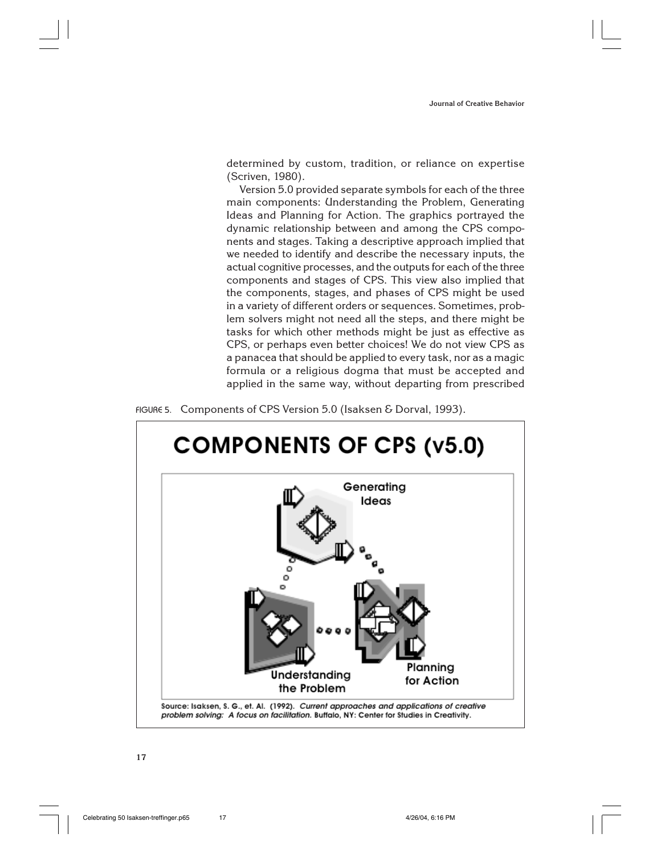determined by custom, tradition, or reliance on expertise (Scriven, 1980).

Version 5.0 provided separate symbols for each of the three main components: Understanding the Problem, Generating Ideas and Planning for Action. The graphics portrayed the dynamic relationship between and among the CPS components and stages. Taking a descriptive approach implied that we needed to identify and describe the necessary inputs, the actual cognitive processes, and the outputs for each of the three components and stages of CPS. This view also implied that the components, stages, and phases of CPS might be used in a variety of different orders or sequences. Sometimes, problem solvers might not need all the steps, and there might be tasks for which other methods might be just as effective as CPS, or perhaps even better choices! We do not view CPS as a panacea that should be applied to every task, nor as a magic formula or a religious dogma that must be accepted and applied in the same way, without departing from prescribed



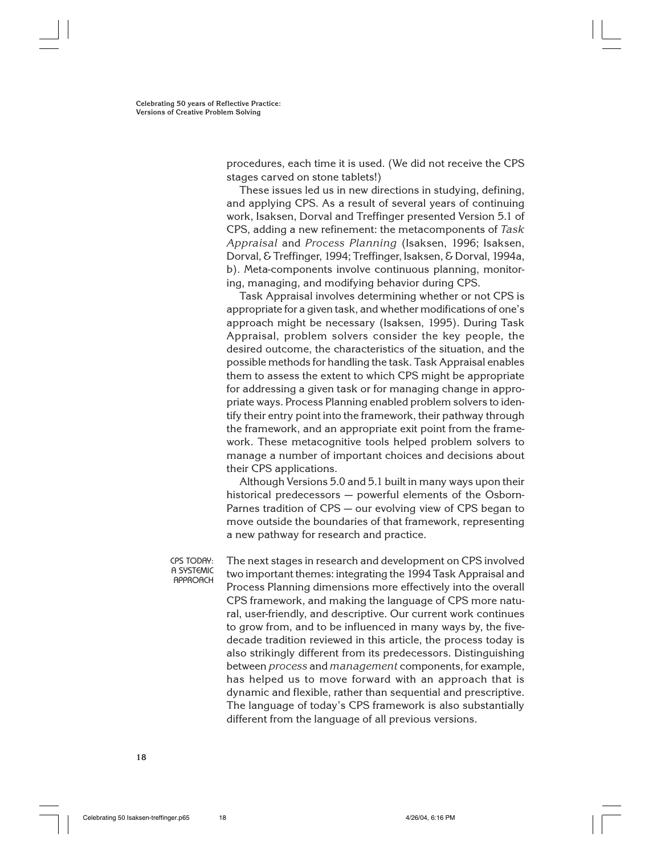> procedures, each time it is used. (We did not receive the CPS stages carved on stone tablets!)

> These issues led us in new directions in studying, defining, and applying CPS. As a result of several years of continuing work, Isaksen, Dorval and Treffinger presented Version 5.1 of CPS, adding a new refinement: the metacomponents of *Task Appraisal* and *Process Planning* (Isaksen, 1996; Isaksen, Dorval, & Treffinger, 1994; Treffinger, Isaksen, & Dorval, 1994a, b). Meta-components involve continuous planning, monitoring, managing, and modifying behavior during CPS.

> Task Appraisal involves determining whether or not CPS is appropriate for a given task, and whether modifications of one's approach might be necessary (Isaksen, 1995). During Task Appraisal, problem solvers consider the key people, the desired outcome, the characteristics of the situation, and the possible methods for handling the task. Task Appraisal enables them to assess the extent to which CPS might be appropriate for addressing a given task or for managing change in appropriate ways. Process Planning enabled problem solvers to identify their entry point into the framework, their pathway through the framework, and an appropriate exit point from the framework. These metacognitive tools helped problem solvers to manage a number of important choices and decisions about their CPS applications.

> Although Versions 5.0 and 5.1 built in many ways upon their historical predecessors — powerful elements of the Osborn-Parnes tradition of CPS — our evolving view of CPS began to move outside the boundaries of that framework, representing a new pathway for research and practice.

CPS TODAY: A SYSTEMIC **APPROACH** 

The next stages in research and development on CPS involved two important themes: integrating the 1994 Task Appraisal and Process Planning dimensions more effectively into the overall CPS framework, and making the language of CPS more natural, user-friendly, and descriptive. Our current work continues to grow from, and to be influenced in many ways by, the fivedecade tradition reviewed in this article, the process today is also strikingly different from its predecessors. Distinguishing between *process* and *management* components, for example, has helped us to move forward with an approach that is dynamic and flexible, rather than sequential and prescriptive. The language of today's CPS framework is also substantially different from the language of all previous versions.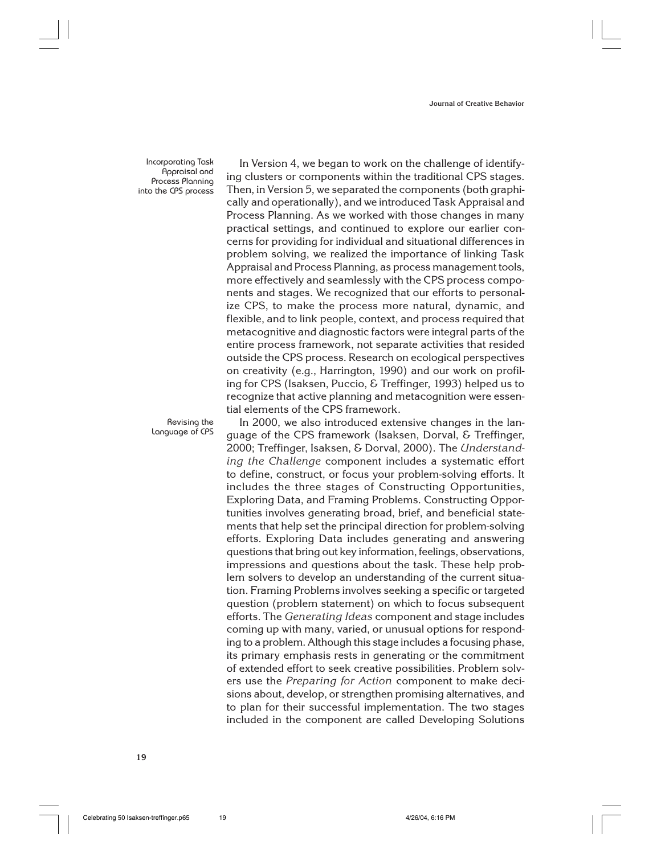Incorporating Task Appraisal and Process Planning into the CPS process

> Revising the Language of CPS

In Version 4, we began to work on the challenge of identifying clusters or components within the traditional CPS stages. Then, in Version 5, we separated the components (both graphically and operationally), and we introduced Task Appraisal and Process Planning. As we worked with those changes in many practical settings, and continued to explore our earlier concerns for providing for individual and situational differences in problem solving, we realized the importance of linking Task Appraisal and Process Planning, as process management tools, more effectively and seamlessly with the CPS process components and stages. We recognized that our efforts to personalize CPS, to make the process more natural, dynamic, and flexible, and to link people, context, and process required that metacognitive and diagnostic factors were integral parts of the entire process framework, not separate activities that resided outside the CPS process. Research on ecological perspectives on creativity (e.g., Harrington, 1990) and our work on profiling for CPS (Isaksen, Puccio, & Treffinger, 1993) helped us to recognize that active planning and metacognition were essential elements of the CPS framework.

In 2000, we also introduced extensive changes in the language of the CPS framework (Isaksen, Dorval, & Treffinger, 2000; Treffinger, Isaksen, & Dorval, 2000). The *Understanding the Challenge* component includes a systematic effort to define, construct, or focus your problem-solving efforts. It includes the three stages of Constructing Opportunities, Exploring Data, and Framing Problems. Constructing Opportunities involves generating broad, brief, and beneficial statements that help set the principal direction for problem-solving efforts. Exploring Data includes generating and answering questions that bring out key information, feelings, observations, impressions and questions about the task. These help problem solvers to develop an understanding of the current situation. Framing Problems involves seeking a specific or targeted question (problem statement) on which to focus subsequent efforts. The *Generating Ideas* component and stage includes coming up with many, varied, or unusual options for responding to a problem. Although this stage includes a focusing phase, its primary emphasis rests in generating or the commitment of extended effort to seek creative possibilities. Problem solvers use the *Preparing for Action* component to make decisions about, develop, or strengthen promising alternatives, and to plan for their successful implementation. The two stages included in the component are called Developing Solutions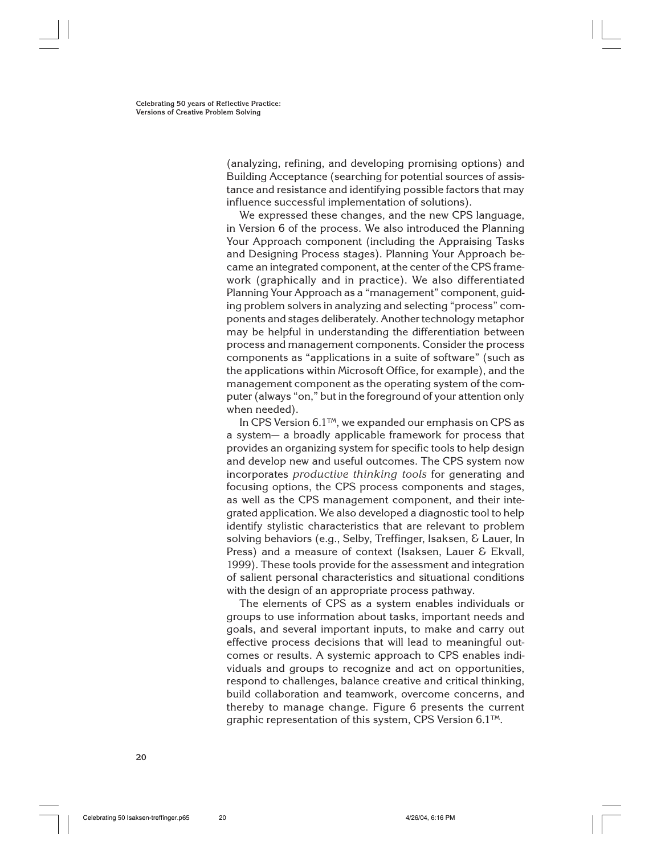> (analyzing, refining, and developing promising options) and Building Acceptance (searching for potential sources of assistance and resistance and identifying possible factors that may influence successful implementation of solutions).

> We expressed these changes, and the new CPS language, in Version 6 of the process. We also introduced the Planning Your Approach component (including the Appraising Tasks and Designing Process stages). Planning Your Approach became an integrated component, at the center of the CPS framework (graphically and in practice). We also differentiated Planning Your Approach as a "management" component, guiding problem solvers in analyzing and selecting "process" components and stages deliberately. Another technology metaphor may be helpful in understanding the differentiation between process and management components. Consider the process components as "applications in a suite of software" (such as the applications within Microsoft Office, for example), and the management component as the operating system of the computer (always "on," but in the foreground of your attention only when needed).

> In CPS Version 6.1™, we expanded our emphasis on CPS as a system— a broadly applicable framework for process that provides an organizing system for specific tools to help design and develop new and useful outcomes. The CPS system now incorporates *productive thinking tools* for generating and focusing options, the CPS process components and stages, as well as the CPS management component, and their integrated application. We also developed a diagnostic tool to help identify stylistic characteristics that are relevant to problem solving behaviors (e.g., Selby, Treffinger, Isaksen, & Lauer, In Press) and a measure of context (Isaksen, Lauer & Ekvall, 1999). These tools provide for the assessment and integration of salient personal characteristics and situational conditions with the design of an appropriate process pathway.

> The elements of CPS as a system enables individuals or groups to use information about tasks, important needs and goals, and several important inputs, to make and carry out effective process decisions that will lead to meaningful outcomes or results. A systemic approach to CPS enables individuals and groups to recognize and act on opportunities, respond to challenges, balance creative and critical thinking, build collaboration and teamwork, overcome concerns, and thereby to manage change. Figure 6 presents the current graphic representation of this system, CPS Version 6.1™.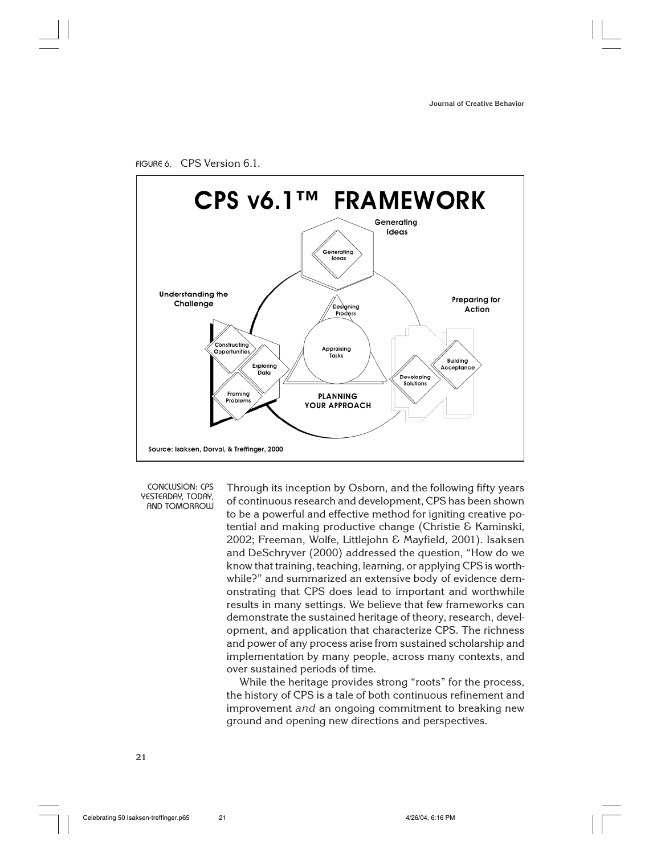

FIGURE 6. CPS Version 6.1.

CONCLUSION: CPS YESTERDAY, TODAY, AND TOMORROW Through its inception by Osborn, and the following fifty years of continuous research and development, CPS has been shown to be a powerful and effective method for igniting creative potential and making productive change (Christie & Kaminski, 2002; Freeman, Wolfe, Littlejohn & Mayfield, 2001). Isaksen and DeSchryver (2000) addressed the question, "How do we know that training, teaching, learning, or applying CPS is worthwhile?" and summarized an extensive body of evidence demonstrating that CPS does lead to important and worthwhile results in many settings. We believe that few frameworks can demonstrate the sustained heritage of theory, research, development, and application that characterize CPS. The richness and power of any process arise from sustained scholarship and implementation by many people, across many contexts, and over sustained periods of time.

While the heritage provides strong "roots" for the process, the history of CPS is a tale of both continuous refinement and improvement *and* an ongoing commitment to breaking new ground and opening new directions and perspectives.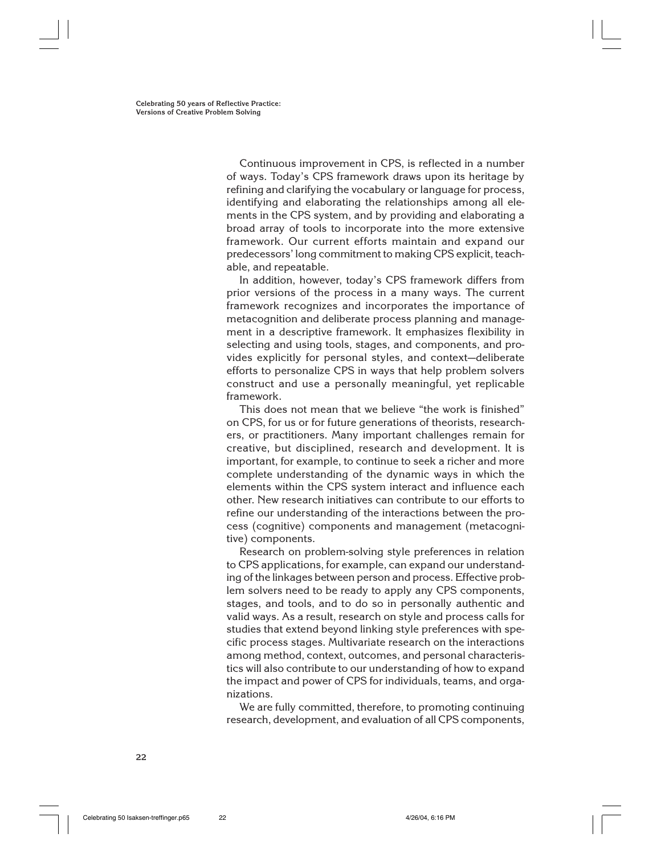> Continuous improvement in CPS, is reflected in a number of ways. Today's CPS framework draws upon its heritage by refining and clarifying the vocabulary or language for process, identifying and elaborating the relationships among all elements in the CPS system, and by providing and elaborating a broad array of tools to incorporate into the more extensive framework. Our current efforts maintain and expand our predecessors' long commitment to making CPS explicit, teachable, and repeatable.

> In addition, however, today's CPS framework differs from prior versions of the process in a many ways. The current framework recognizes and incorporates the importance of metacognition and deliberate process planning and management in a descriptive framework. It emphasizes flexibility in selecting and using tools, stages, and components, and provides explicitly for personal styles, and context—deliberate efforts to personalize CPS in ways that help problem solvers construct and use a personally meaningful, yet replicable framework.

> This does not mean that we believe "the work is finished" on CPS, for us or for future generations of theorists, researchers, or practitioners. Many important challenges remain for creative, but disciplined, research and development. It is important, for example, to continue to seek a richer and more complete understanding of the dynamic ways in which the elements within the CPS system interact and influence each other. New research initiatives can contribute to our efforts to refine our understanding of the interactions between the process (cognitive) components and management (metacognitive) components.

> Research on problem-solving style preferences in relation to CPS applications, for example, can expand our understanding of the linkages between person and process. Effective problem solvers need to be ready to apply any CPS components, stages, and tools, and to do so in personally authentic and valid ways. As a result, research on style and process calls for studies that extend beyond linking style preferences with specific process stages. Multivariate research on the interactions among method, context, outcomes, and personal characteristics will also contribute to our understanding of how to expand the impact and power of CPS for individuals, teams, and organizations.

> We are fully committed, therefore, to promoting continuing research, development, and evaluation of all CPS components,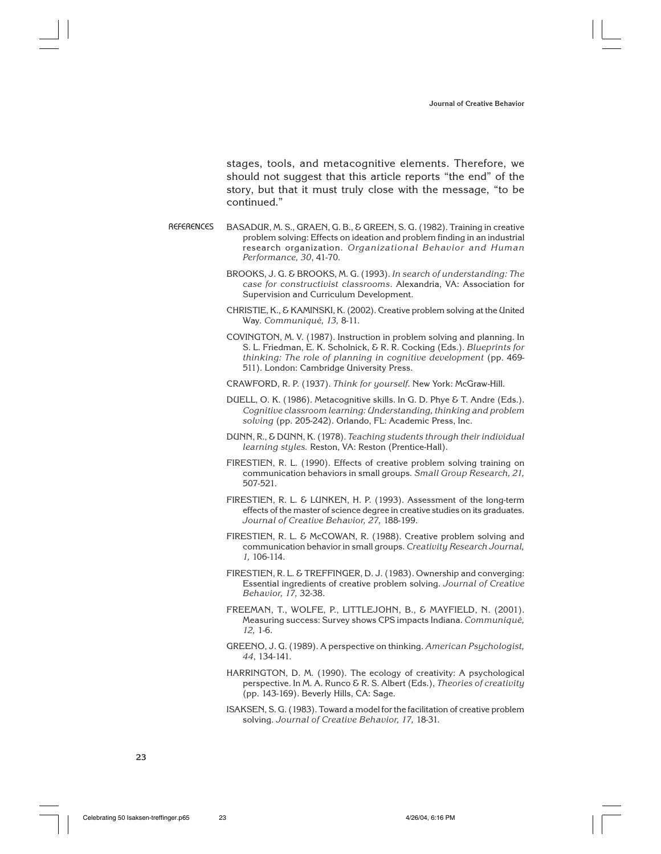stages, tools, and metacognitive elements. Therefore, we should not suggest that this article reports "the end" of the story, but that it must truly close with the message, "to be continued."

- BASADUR, M. S., GRAEN, G. B., & GREEN, S. G. (1982). Training in creative problem solving: Effects on ideation and problem finding in an industrial research organization. *Organizational Behavior and Human Performance, 30*, 41-70. **REFERENCES** 
	- BROOKS, J. G. & BROOKS, M. G. (1993). *In search of understanding: The case for constructivist classrooms*. Alexandria, VA: Association for Supervision and Curriculum Development.
	- CHRISTIE, K., & KAMINSKI, K. (2002). Creative problem solving at the United Way. *Communiqué, 13,* 8-11.
	- COVINGTON, M. V. (1987). Instruction in problem solving and planning. In S. L. Friedman, E. K. Scholnick, & R. R. Cocking (Eds.). *Blueprints for thinking: The role of planning in cognitive development* (pp. 469- 511). London: Cambridge University Press.
	- CRAWFORD, R. P. (1937). *Think for yourself*. New York: McGraw-Hill.
	- DUELL, O. K. (1986). Metacognitive skills. In G. D. Phye & T. Andre (Eds.). *Cognitive classroom learning: Understanding, thinking and problem solving* (pp. 205-242). Orlando, FL: Academic Press, Inc.
	- DUNN, R., & DUNN, K. (1978). *Teaching students through their individual learning styles.* Reston, VA: Reston (Prentice-Hall).
	- FIRESTIEN, R. L. (1990). Effects of creative problem solving training on communication behaviors in small groups*. Small Group Research, 21,* 507-521.
	- FIRESTIEN, R. L. & LUNKEN, H. P. (1993). Assessment of the long-term effects of the master of science degree in creative studies on its graduates. *Journal of Creative Behavior, 27,* 188-199.
	- FIRESTIEN, R. L. & McCOWAN, R. (1988). Creative problem solving and communication behavior in small groups. *Creativity Research Journal, 1,* 106-114.
	- FIRESTIEN, R. L. & TREFFINGER, D. J. (1983). Ownership and converging: Essential ingredients of creative problem solving. *Journal of Creative Behavior, 17,* 32-38.
	- FREEMAN, T., WOLFE, P., LITTLEJOHN, B., & MAYFIELD, N. (2001). Measuring success: Survey shows CPS impacts Indiana. *Communiqué, 12,* 1-6.
	- GREENO, J. G. (1989). A perspective on thinking. *American Psychologist, 44*, 134-141.
	- HARRINGTON, D. M. (1990). The ecology of creativity: A psychological perspective. In M. A. Runco & R. S. Albert (Eds.), *Theories of creativity* (pp. 143-169). Beverly Hills, CA: Sage.
	- ISAKSEN, S. G. (1983). Toward a model for the facilitation of creative problem solving. *Journal of Creative Behavior, 17,* 18-31.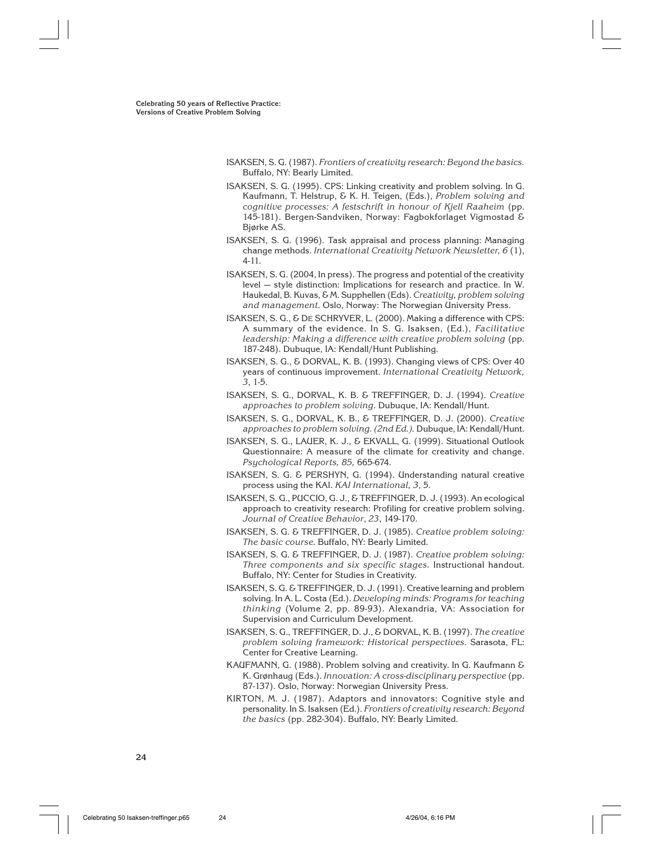- ISAKSEN, S. G. (1987). *Frontiers of creativity research: Beyond the basics.* Buffalo, NY: Bearly Limited.
- ISAKSEN, S. G. (1995). CPS: Linking creativity and problem solving. In G. Kaufmann, T. Helstrup, & K. H. Teigen, (Eds.), *Problem solving and cognitive processes: A festschrift in honour of Kjell Raaheim (pp.* 145-181). Bergen-Sandviken, Norway: Fagbokforlaget Vigmostad & Bjørke AS.
- ISAKSEN, S. G. (1996). Task appraisal and process planning: Managing change methods. *International Creativity Network Newsletter, 6* (1), 4-11.
- ISAKSEN, S. G. (2004, In press). The progress and potential of the creativity level — style distinction: Implications for research and practice. In W. Haukedal, B. Kuvas, & M. Supphellen (Eds). *Creativity, problem solving and management*. Oslo, Norway: The Norwegian University Press.
- ISAKSEN, S. G., & DE SCHRYVER, L. (2000). Making a difference with CPS: A summary of the evidence. In S. G. Isaksen, (Ed.), *Facilitative leadership: Making a difference with creative problem solving* (pp. 187-248). Dubuque, IA: Kendall/Hunt Publishing.
- ISAKSEN, S. G., & DORVAL, K. B. (1993). Changing views of CPS: Over 40 years of continuous improvement. *International Creativity Network, 3*, 1-5.
- ISAKSEN, S. G., DORVAL, K. B. & TREFFINGER, D. J. (1994). *Creative approaches to problem solving*. Dubuque, IA: Kendall/Hunt.
- ISAKSEN, S. G., DORVAL, K. B., & TREFFINGER, D. J. (2000). *Creative approaches to problem solving. (2nd Ed.).* Dubuque, IA: Kendall/Hunt.
- ISAKSEN, S. G., LAUER, K. J., & EKVALL, G. (1999). Situational Outlook Questionnaire: A measure of the climate for creativity and change. *Psychological Reports, 85,* 665-674.
- ISAKSEN, S. G. & PERSHYN, G. (1994). Understanding natural creative process using the KAI. *KAI International, 3*, 5.
- ISAKSEN, S. G., PUCCIO, G. J., & TREFFINGER, D. J. (1993). An ecological approach to creativity research: Profiling for creative problem solving. *Journal of Creative Behavior*, *23*, 149-170.
- ISAKSEN, S. G. & TREFFINGER, D. J. (1985). *Creative problem solving: The basic course*. Buffalo, NY: Bearly Limited.
- ISAKSEN, S. G. & TREFFINGER, D. J. (1987). *Creative problem solving: Three components and six specific stages.* Instructional handout. Buffalo, NY: Center for Studies in Creativity.
- ISAKSEN, S. G. & TREFFINGER, D. J. (1991). Creative learning and problem solving. In A. L. Costa (Ed.). *Developing minds: Programs for teaching thinking* (Volume 2, pp. 89-93). Alexandria, VA: Association for Supervision and Curriculum Development.
- ISAKSEN, S. G., TREFFINGER, D. J., & DORVAL, K. B. (1997). *The creative problem solving framework: Historical perspectives.* Sarasota, FL: Center for Creative Learning.
- KAUFMANN, G. (1988). Problem solving and creativity. In G. Kaufmann & K. Grønhaug (Eds.). *Innovation: A cross-disciplinary perspective* (pp. 87-137). Oslo, Norway: Norwegian University Press.
- KIRTON, M. J. (1987). Adaptors and innovators: Cognitive style and personality. In S. Isaksen (Ed.). *Frontiers of creativity research: Beyond the basics* (pp. 282-304). Buffalo, NY: Bearly Limited.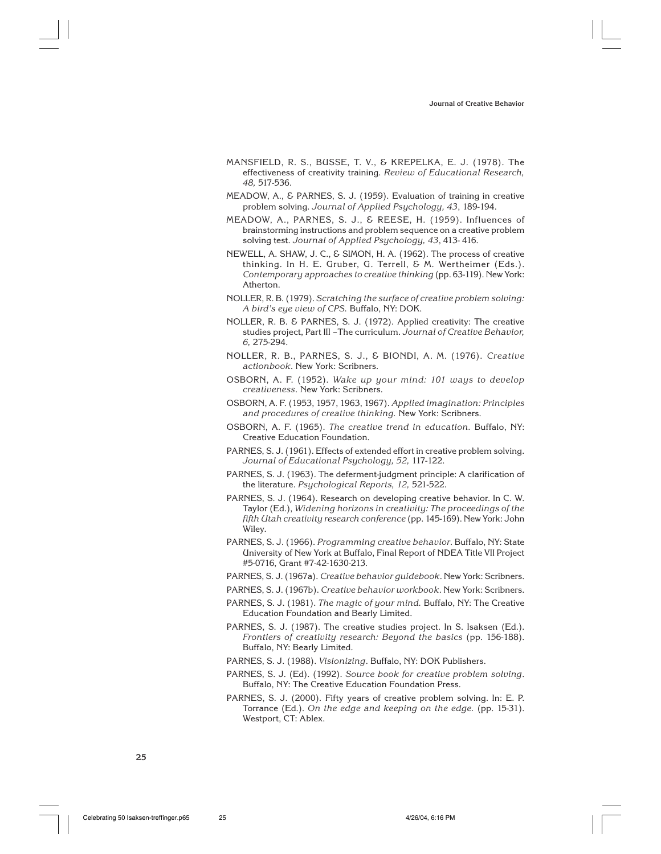- MANSFIELD, R. S., BUSSE, T. V., & KREPELKA, E. J. (1978). The effectiveness of creativity training. *Review of Educational Research, 48,* 517-536.
- MEADOW, A., & PARNES, S. J. (1959). Evaluation of training in creative problem solving. *Journal of Applied Psychology, 43*, 189-194.
- MEADOW, A., PARNES, S. J., & REESE, H. (1959). Influences of brainstorming instructions and problem sequence on a creative problem solving test. *Journal of Applied Psychology, 43*, 413- 416.
- NEWELL, A. SHAW, J. C., & SIMON, H. A. (1962). The process of creative thinking. In H. E. Gruber, G. Terrell, & M. Wertheimer (Eds.). *Contemporary approaches to creative thinking* (pp. 63-119). New York: Atherton.
- NOLLER, R. B. (1979). *Scratching the surface of creative problem solving: A bird's eye view of CPS.* Buffalo, NY: DOK.
- NOLLER, R. B. & PARNES, S. J. (1972). Applied creativity: The creative studies project, Part III –The curriculum. *Journal of Creative Behavior, 6,* 275-294.
- NOLLER, R. B., PARNES, S. J., & BIONDI, A. M. (1976). *Creative actionbook*. New York: Scribners.
- OSBORN, A. F. (1952). *Wake up your mind: 101 ways to develop creativeness*. New York: Scribners.
- OSBORN, A. F. (1953, 1957, 1963, 1967). *Applied imagination: Principles and procedures of creative thinking.* New York: Scribners.
- OSBORN, A. F. (1965). *The creative trend in education.* Buffalo, NY: Creative Education Foundation.
- PARNES, S. J. (1961). Effects of extended effort in creative problem solving. *Journal of Educational Psychology, 52,* 117-122.
- PARNES, S. J. (1963). The deferment-judgment principle: A clarification of the literature. *Psychological Reports, 12,* 521-522.
- PARNES, S. J. (1964). Research on developing creative behavior. In C. W. Taylor (Ed.), *Widening horizons in creativity: The proceedings of the fifth Utah creativity research conference* (pp. 145-169). New York: John Wiley.
- PARNES, S. J. (1966). *Programming creative behavior*. Buffalo, NY: State University of New York at Buffalo, Final Report of NDEA Title VII Project #5-0716, Grant #7-42-1630-213.
- PARNES, S. J. (1967a). *Creative behavior guidebook*. New York: Scribners.
- PARNES, S. J. (1967b). *Creative behavior workbook*. New York: Scribners.
- PARNES, S. J. (1981). *The magic of your mind.* Buffalo, NY: The Creative Education Foundation and Bearly Limited.
- PARNES, S. J. (1987). The creative studies project. In S. Isaksen (Ed.). *Frontiers of creativity research: Beyond the basics* (pp. 156-188). Buffalo, NY: Bearly Limited.
- PARNES, S. J. (1988). *Visionizing*. Buffalo, NY: DOK Publishers.
- PARNES, S. J. (Ed). (1992). *Source book for creative problem solving*. Buffalo, NY: The Creative Education Foundation Press.
- PARNES, S. J. (2000). Fifty years of creative problem solving. In: E. P. Torrance (Ed.). *On the edge and keeping on the edge.* (pp. 15-31). Westport, CT: Ablex.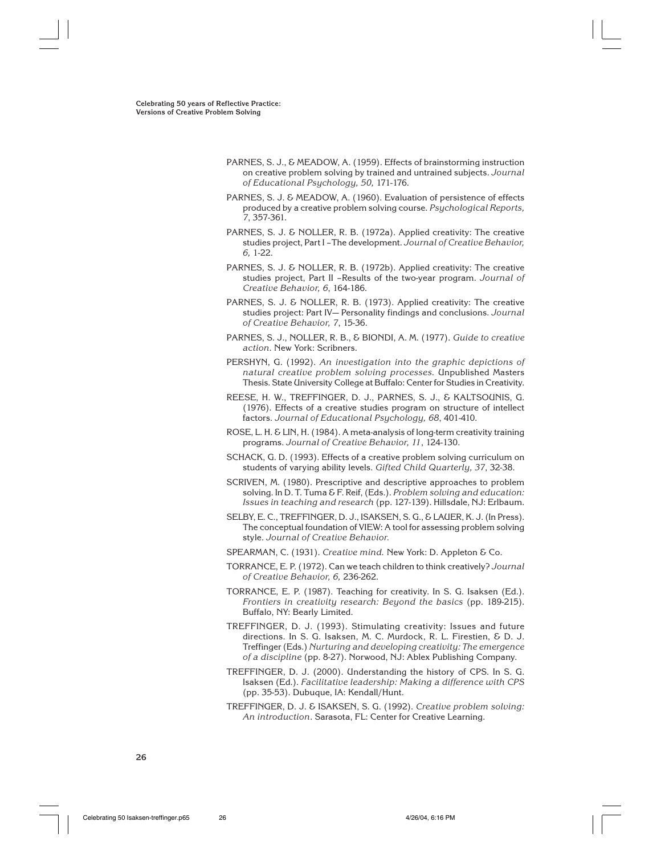- PARNES, S. J., & MEADOW, A. (1959). Effects of brainstorming instruction on creative problem solving by trained and untrained subjects. *Journal of Educational Psychology, 50,* 171-176.
- PARNES, S. J. & MEADOW, A. (1960). Evaluation of persistence of effects produced by a creative problem solving course. *Psychological Reports, 7*, 357-361.
- PARNES, S. J. & NOLLER, R. B. (1972a). Applied creativity: The creative studies project, Part I –The development. *Journal of Creative Behavior, 6,* 1-22.
- PARNES, S. J. & NOLLER, R. B. (1972b). Applied creativity: The creative studies project, Part II –Results of the two-year program. *Journal of Creative Behavior, 6*, 164-186.
- PARNES, S. J. & NOLLER, R. B. (1973). Applied creativity: The creative studies project: Part IV— Personality findings and conclusions. *Journal of Creative Behavior, 7*, 15-36.
- PARNES, S. J., NOLLER, R. B., & BIONDI, A. M. (1977). *Guide to creative action*. New York: Scribners.
- PERSHYN, G. (1992). *An investigation into the graphic depictions of natural creative problem solving processes.* Unpublished Masters Thesis. State University College at Buffalo: Center for Studies in Creativity.
- REESE, H. W., TREFFINGER, D. J., PARNES, S. J., & KALTSOUNIS, G. (1976). Effects of a creative studies program on structure of intellect factors. *Journal of Educational Psychology, 68*, 401-410.
- ROSE, L. H. & LIN, H. (1984). A meta-analysis of long-term creativity training programs. *Journal of Creative Behavior, 11*, 124-130.
- SCHACK, G. D. (1993). Effects of a creative problem solving curriculum on students of varying ability levels. *Gifted Child Quarterly, 37*, 32-38.
- SCRIVEN, M. (1980). Prescriptive and descriptive approaches to problem solving. In D. T. Tuma & F. Reif, (Eds.). *Problem solving and education: Issues in teaching and research* (pp. 127-139). Hillsdale, NJ: Erlbaum.
- SELBY, E. C., TREFFINGER, D. J., ISAKSEN, S. G., & LAUER, K. J. (In Press). The conceptual foundation of VIEW: A tool for assessing problem solving style. *Journal of Creative Behavior.*
- SPEARMAN, C. (1931). *Creative mind.* New York: D. Appleton & Co.
- TORRANCE, E. P. (1972). Can we teach children to think creatively? *Journal of Creative Behavior, 6,* 236-262.
- TORRANCE, E. P. (1987). Teaching for creativity. In S. G. Isaksen (Ed.). *Frontiers in creativity research: Beyond the basics* (pp. 189-215). Buffalo, NY: Bearly Limited.
- TREFFINGER, D. J. (1993). Stimulating creativity: Issues and future directions. In S. G. Isaksen, M. C. Murdock, R. L. Firestien, & D. J. Treffinger (Eds.) *Nurturing and developing creativity: The emergence of a discipline* (pp. 8-27). Norwood, NJ: Ablex Publishing Company.
- TREFFINGER, D. J. (2000). Understanding the history of CPS. In S. G. Isaksen (Ed.). *Facilitative leadership: Making a difference with CPS* (pp. 35-53). Dubuque, IA: Kendall/Hunt.
- TREFFINGER, D. J. & ISAKSEN, S. G. (1992). *Creative problem solving: An introduction*. Sarasota, FL: Center for Creative Learning.